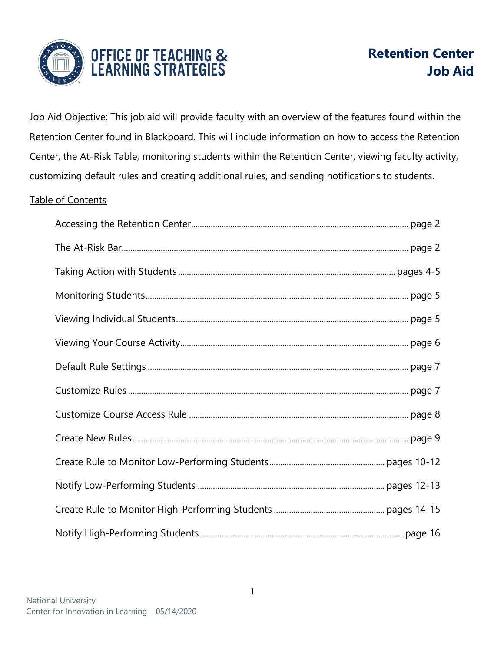

Job Aid Objective: This job aid will provide faculty with an overview of the features found within the Retention Center found in Blackboard. This will include information on how to access the Retention Center, the At-Risk Table, monitoring students within the Retention Center, viewing faculty activity, customizing default rules and creating additional rules, and sending notifications to students.

# Table of Contents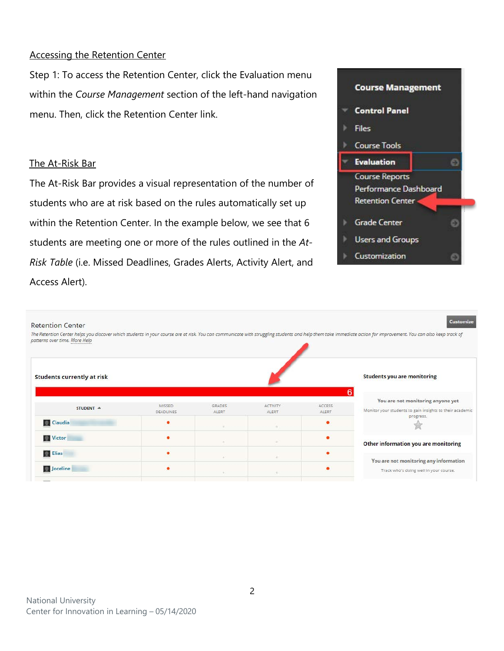#### Accessing the Retention Center

Step 1: To access the Retention Center, click the Evaluation menu within the *Course Management* section of the left-hand navigation menu. Then, click the Retention Center link.

#### The At-Risk Bar

The At-Risk Bar provides a visual representation of the number of students who are at risk based on the rules automatically set up within the Retention Center. In the example below, we see that 6 students are meeting one or more of the rules outlined in the *At-Risk Table* (i.e. Missed Deadlines, Grades Alerts, Activity Alert, and Access Alert).



| <b>Retention Center</b><br>potterns over time. More Help |                            |                        |                          |                        | <b>Customize</b><br>The Retention Center helps you discover which students in your course are at risk. You can communicate with struggling students and help them take immediate action for improvement. You can also keep track of |
|----------------------------------------------------------|----------------------------|------------------------|--------------------------|------------------------|-------------------------------------------------------------------------------------------------------------------------------------------------------------------------------------------------------------------------------------|
| <b>Students currently at risk</b>                        |                            |                        |                          |                        | <b>Students you are monitoring</b>                                                                                                                                                                                                  |
| STUDENT A                                                | MISSED<br><b>DEADLINES</b> | <b>GRADES</b><br>ALERT | <b>ACTIVITY</b><br>ALERT | <b>ACCESS</b><br>ALERT | You are not monitoring anyone yet<br>Monitor your students to gain insights to their academic                                                                                                                                       |
| <b>Claudia</b>                                           |                            |                        | $\sim$                   |                        | progress.                                                                                                                                                                                                                           |
| <b>Wictor</b>                                            |                            |                        |                          |                        | Other information you are monitoring                                                                                                                                                                                                |
| <b>Elias</b>                                             |                            |                        | ٠                        |                        | You are not monitoring any information                                                                                                                                                                                              |
| Joceline                                                 | ٠                          |                        |                          |                        | Track who's doing well in your course.                                                                                                                                                                                              |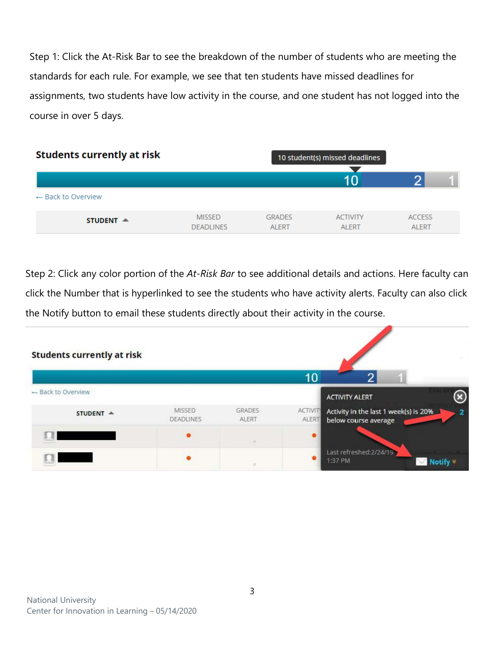Step 1: Click the At-Risk Bar to see the breakdown of the number of students who are meeting the standards for each rule. For example, we see that ten students have missed deadlines for assignments, two students have low activity in the course, and one student has not logged into the course in over 5 days.



Step 2: Click any color portion of the *At-Risk Bar* to see additional details and actions. Here faculty can click the Number that is hyperlinked to see the students who have activity alerts. Faculty can also click the Notify button to email these students directly about their activity in the course.

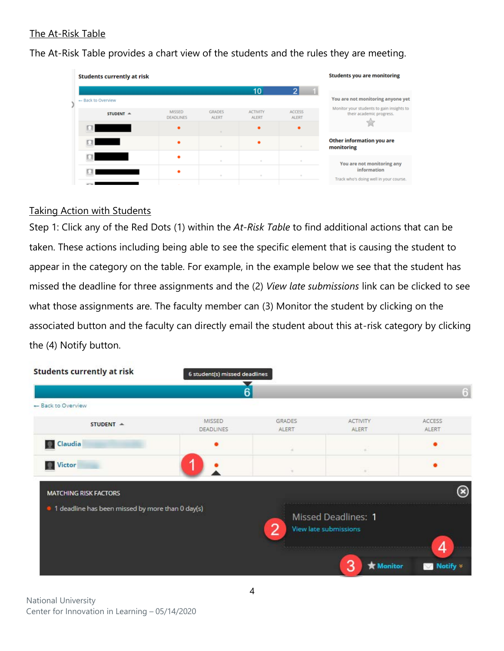## The At-Risk Table

The At-Risk Table provides a chart view of the students and the rules they are meeting.

| <b>Students currently at risk</b>                                                                                                                                                                                                    |                                   |                               |                                 |                               | <b>Students you are monitoring</b>                                    |
|--------------------------------------------------------------------------------------------------------------------------------------------------------------------------------------------------------------------------------------|-----------------------------------|-------------------------------|---------------------------------|-------------------------------|-----------------------------------------------------------------------|
|                                                                                                                                                                                                                                      |                                   |                               | 10                              |                               | You are not monitoring anyone yet                                     |
| - Back to Overview                                                                                                                                                                                                                   |                                   |                               |                                 |                               |                                                                       |
| STUDENT A                                                                                                                                                                                                                            | <b>MISSED</b><br><b>DEADLINES</b> | <b>GRADES</b><br><b>ALERT</b> | <b>ACTIVITY</b><br><b>ALERT</b> | <b>ACCESS</b><br><b>ALERT</b> | Monitor your students to gain insights to<br>their academic progress. |
| <u> The Community of the Community of the Community of the Community of the Community of the Community of the Community of the Community of the Community of the Community of the Community of the Community of the Community of</u> |                                   |                               |                                 | ٠                             |                                                                       |
|                                                                                                                                                                                                                                      |                                   |                               |                                 | $\sim$                        | Other information you are<br>monitoring                               |
|                                                                                                                                                                                                                                      |                                   | $\sim$                        | $\sim$                          | $\sim$                        | You are not monitoring any                                            |
|                                                                                                                                                                                                                                      |                                   | $\sim$                        | $\sim$                          |                               | information<br>Track who's doing well in your course.                 |
|                                                                                                                                                                                                                                      |                                   |                               |                                 |                               |                                                                       |

#### Taking Action with Students

Step 1: Click any of the Red Dots (1) within the *At-Risk Table* to find additional actions that can be taken. These actions including being able to see the specific element that is causing the student to appear in the category on the table. For example, in the example below we see that the student has missed the deadline for three assignments and the (2) *View late submissions* link can be clicked to see what those assignments are. The faculty member can (3) Monitor the student by clicking on the associated button and the faculty can directly email the student about this at-risk category by clicking the (4) Notify button.

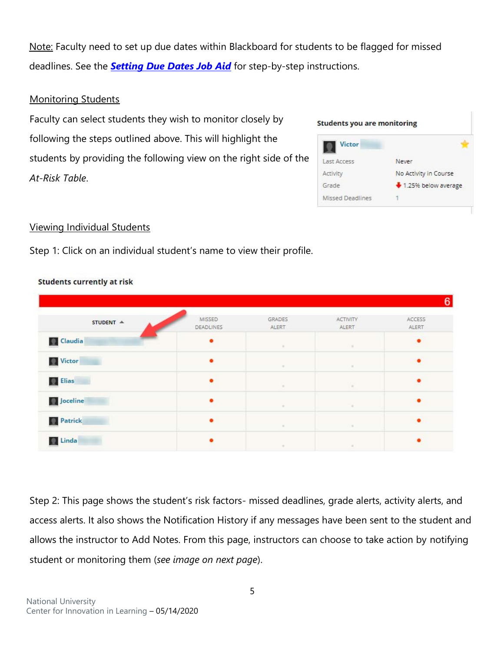Note: Faculty need to set up due dates within Blackboard for students to be flagged for missed deadlines. See the *[Setting Due Dates Job Aid](https://drive.google.com/open?id=1jlic4g41ARicDmoXrWeVa7TOn1ogcgJV)* for step-by-step instructions.

### Monitoring Students

Faculty can select students they wish to monitor closely by following the steps outlined above. This will highlight the students by providing the following view on the right side of the *At-Risk Table*.

| Victor           |                       |
|------------------|-----------------------|
| Last Access      | Never                 |
| Activity         | No Activity in Course |
| Grade            | + 1.25% below average |
| Missed Deadlines |                       |

#### Viewing Individual Students

Step 1: Click on an individual student's name to view their profile.

| STUDENT A         | MISSED           | GRADES | <b>ACTIVITY</b> | ACCESS |
|-------------------|------------------|--------|-----------------|--------|
|                   | <b>DEADLINES</b> | ALERT  | ALERT           | ALERT  |
| <b>Claudia</b>    | ٠                | $\sim$ | œ               | ٠      |
| Victor            |                  | $\sim$ | $\sim$          |        |
| <b>D</b> Elias    |                  | ×      | $\sim$          |        |
| <b>D</b> Joceline | $\bullet$        |        | $\sim$          |        |
| <b>Patrick</b>    | $\bullet$        | ٠      | œ               | ٠      |

#### **Students currently at risk**

Step 2: This page shows the student's risk factors- missed deadlines, grade alerts, activity alerts, and access alerts. It also shows the Notification History if any messages have been sent to the student and allows the instructor to Add Notes. From this page, instructors can choose to take action by notifying student or monitoring them (*see image on next page*).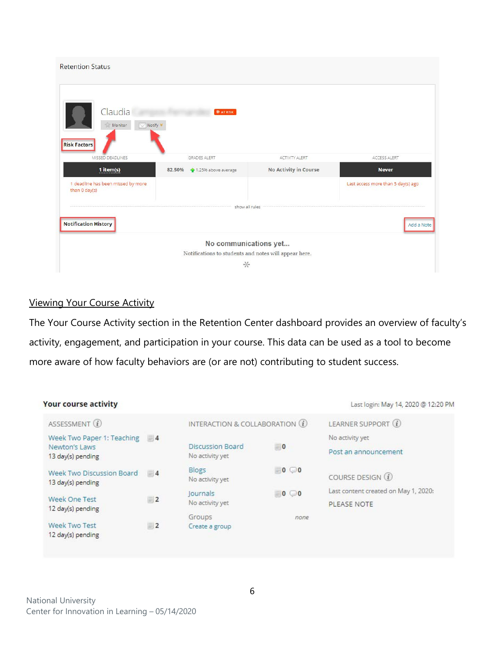| Claudia<br>Notify <sup>₩</sup><br>Monitor<br><b>Risk Factors</b><br>MISSED DEADLINES<br>1 item(s)<br>1 deadline has been missed by more | <b>* AT RISK</b>                                      |                       |                                    |
|-----------------------------------------------------------------------------------------------------------------------------------------|-------------------------------------------------------|-----------------------|------------------------------------|
|                                                                                                                                         |                                                       |                       |                                    |
|                                                                                                                                         | <b>GRADES ALERT</b>                                   | <b>ACTIVITY ALERT</b> | ACCESS ALERT                       |
|                                                                                                                                         | 82.50% <sup>4</sup> 1.25% above average               | No Activity in Course | <b>Never</b>                       |
| than 0 day(s)                                                                                                                           |                                                       |                       | Last access more than 5 day(s) ago |
|                                                                                                                                         | show all rules                                        |                       |                                    |
| <b>Notification History</b>                                                                                                             |                                                       |                       | Add a Note                         |
|                                                                                                                                         | No communications yet                                 |                       |                                    |
|                                                                                                                                         | Notifications to students and notes will appear here. |                       |                                    |
|                                                                                                                                         | $\frac{1}{\sqrt{2}}$                                  |                       |                                    |

#### Viewing Your Course Activity

The Your Course Activity section in the Retention Center dashboard provides an overview of faculty's activity, engagement, and participation in your course. This data can be used as a tool to become more aware of how faculty behaviors are (or are not) contributing to student success.

| <b>Your course activity</b>                                      |       |                                            |                | Last login: May 14, 2020 @ 12:20 PM                 |
|------------------------------------------------------------------|-------|--------------------------------------------|----------------|-----------------------------------------------------|
| ASSESSMENT (i)                                                   |       | INTERACTION & COLLABORATION (1)            |                | LEARNER SUPPORT (1)                                 |
| Week Two Paper 1: Teaching<br>Newton's Laws<br>13 day(s) pending | $= 4$ | <b>Discussion Board</b><br>No activity yet | $= 0$          | No activity yet<br>Post an announcement             |
| Week Two Discussion Board<br>13 day(s) pending                   | $= 4$ | Blogs<br>No activity yet                   | $-0$ $\odot$ 0 | COURSE DESIGN $(i)$                                 |
| Week One Test<br>12 day(s) pending                               | $-2$  | Journals<br>No activity yet                | $-0$ $0$       | Last content created on May 1, 2020:<br>PLEASE NOTE |
| Week Two Test<br>12 day(s) pending                               | $= 2$ | Groups<br>Create a group                   | none           |                                                     |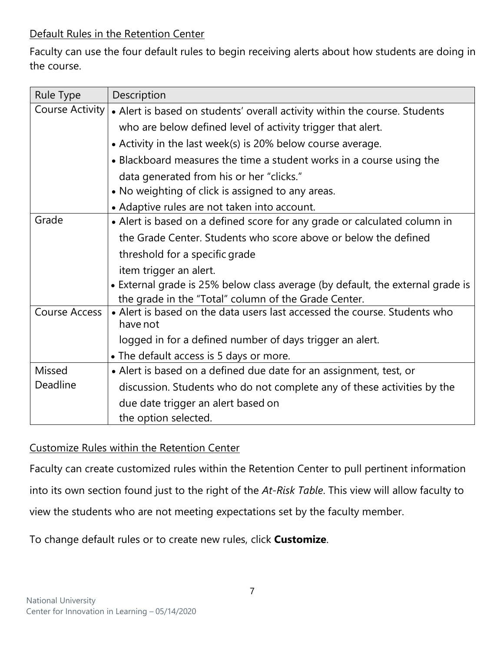# Default Rules in the Retention Center

Faculty can use the four default rules to begin receiving alerts about how students are doing in the course.

| <b>Rule Type</b> | Description                                                                           |
|------------------|---------------------------------------------------------------------------------------|
| Course Activity  | • Alert is based on students' overall activity within the course. Students            |
|                  | who are below defined level of activity trigger that alert.                           |
|                  | • Activity in the last week(s) is 20% below course average.                           |
|                  | • Blackboard measures the time a student works in a course using the                  |
|                  | data generated from his or her "clicks."                                              |
|                  | • No weighting of click is assigned to any areas.                                     |
|                  | • Adaptive rules are not taken into account.                                          |
| Grade            | • Alert is based on a defined score for any grade or calculated column in             |
|                  | the Grade Center. Students who score above or below the defined                       |
|                  | threshold for a specific grade                                                        |
|                  | item trigger an alert.                                                                |
|                  | • External grade is 25% below class average (by default, the external grade is        |
|                  | the grade in the "Total" column of the Grade Center.                                  |
| Course Access    | • Alert is based on the data users last accessed the course. Students who<br>have not |
|                  | logged in for a defined number of days trigger an alert.                              |
|                  | • The default access is 5 days or more.                                               |
| Missed           | • Alert is based on a defined due date for an assignment, test, or                    |
| Deadline         | discussion. Students who do not complete any of these activities by the               |
|                  | due date trigger an alert based on                                                    |
|                  | the option selected.                                                                  |

Customize Rules within the Retention Center

Faculty can create customized rules within the Retention Center to pull pertinent information into its own section found just to the right of the *At-Risk Table*. This view will allow faculty to view the students who are not meeting expectations set by the faculty member.

To change default rules or to create new rules, click **Customize**.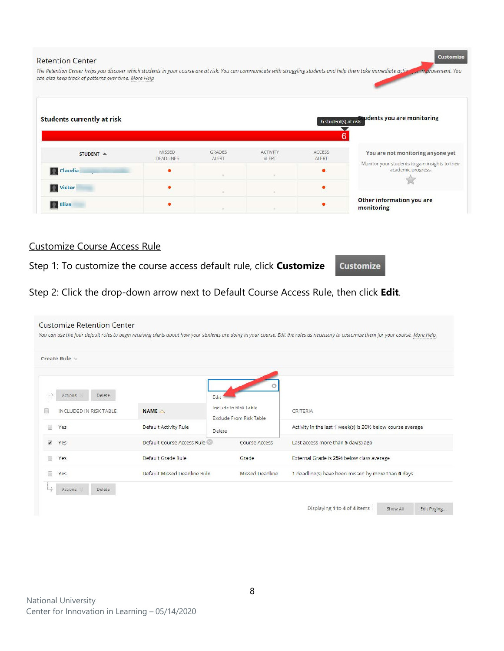| <b>Retention Center</b>                                                                                                                                                                                                     |                            |                        |                          |                        | <b>Customize</b>                                                      |
|-----------------------------------------------------------------------------------------------------------------------------------------------------------------------------------------------------------------------------|----------------------------|------------------------|--------------------------|------------------------|-----------------------------------------------------------------------|
| The Retention Center helps you discover which students in your course are at risk. You can communicate with struggling students and help them take immediate action<br>can also keep track of patterns over time. More Help |                            |                        |                          |                        | <b>Unit provement.</b> You                                            |
| <b>Students currently at risk</b>                                                                                                                                                                                           |                            |                        |                          |                        | 6 student(s) at risk udents you are monitoring<br>6                   |
| STUDENT A                                                                                                                                                                                                                   | MISSED<br><b>DEADLINES</b> | <b>GRADES</b><br>ALERT | <b>ACTIVITY</b><br>ALERT | <b>ACCESS</b><br>ALERT | You are not monitoring anyone yet                                     |
| <b>Q</b> Claudia                                                                                                                                                                                                            |                            |                        |                          |                        | Monitor your students to gain insights to their<br>academic progress. |
| Victor                                                                                                                                                                                                                      |                            |                        |                          |                        |                                                                       |
| <b>R</b> Elias                                                                                                                                                                                                              |                            |                        |                          |                        | Other information you are<br>monitoring                               |

# Customize Course Access Rule

Step 1: To customize the course access default rule, click **Customize**

Customize

Step 2: Click the drop-down arrow next to Default Course Access Rule, then click **Edit**.

| Create Rule v                             |                                        |                               |                                                                        |  |
|-------------------------------------------|----------------------------------------|-------------------------------|------------------------------------------------------------------------|--|
| Actions<br>Delete                         |                                        | Edit<br>Include in Risk Table |                                                                        |  |
| INCLUDED IN RISK TABLE<br>Yes<br><b>E</b> | NAME △<br><b>Default Activity Rule</b> | Exclude From Risk Table       | CRITERIA<br>Activity in the last 1 week(s) is 20% below course average |  |
| $\checkmark$<br>Yes                       | Default Course Access Rule             | Delete<br>Course Access       | Last access more than 5 day(s) ago                                     |  |
| Yes                                       | Default Grade Rule                     | Grade                         | External Grade is 25% below class average                              |  |
| Yes<br><b>E</b>                           | Default Missed Deadline Rule           | Missed Deadline               | 1 deadline(s) have been missed by more than 0 days                     |  |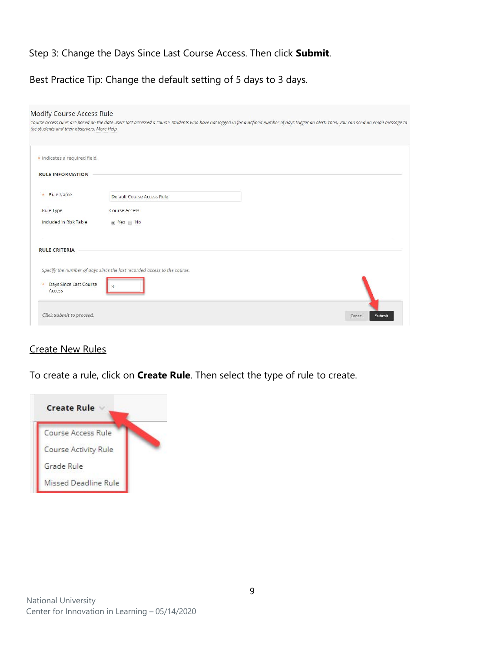# Step 3: Change the Days Since Last Course Access. Then click **Submit**.

Best Practice Tip: Change the default setting of 5 days to 3 days.

| the students and their observers. More Help | Course access rules are based on the date users last accessed a course. Students who have not logged in for a defined number of days trigger an alert. Then, you can send an email message to |                  |
|---------------------------------------------|-----------------------------------------------------------------------------------------------------------------------------------------------------------------------------------------------|------------------|
| * Indicates a required field.               |                                                                                                                                                                                               |                  |
| <b>RULE INFORMATION</b>                     |                                                                                                                                                                                               |                  |
| Rule Name<br>$\frac{1}{2\pi}$               | Default Course Access Rule                                                                                                                                                                    |                  |
| Rule Type                                   | Course Access                                                                                                                                                                                 |                  |
| Included in Risk Table                      | ◎ Yes ◎ No                                                                                                                                                                                    |                  |
| <b>RULE CRITERIA</b>                        |                                                                                                                                                                                               |                  |
|                                             | Specify the number of days since the last recorded access to the course.                                                                                                                      |                  |
| Days Since Last Course<br>$\pm$<br>Access   | 3                                                                                                                                                                                             |                  |
| Click Submit to proceed.                    |                                                                                                                                                                                               | Submit<br>Cancel |

## Create New Rules

To create a rule, click on **Create Rule**. Then select the type of rule to create.

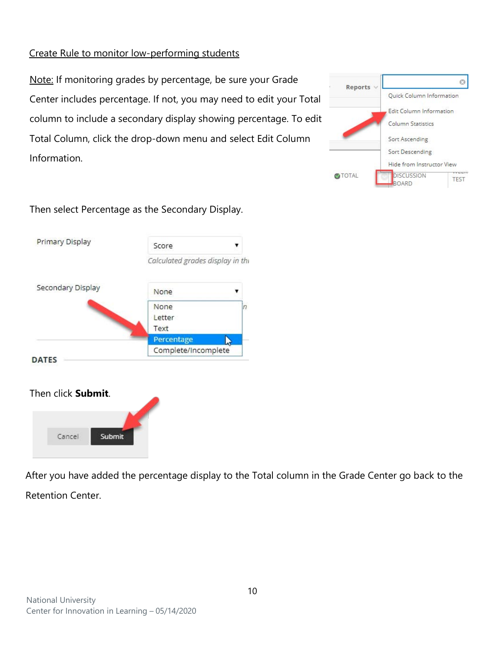# Create Rule to monitor low-performing students

Note: If monitoring grades by percentage, be sure your Grade Center includes percentage. If not, you may need to edit your Total column to include a secondary display showing percentage. To edit Total Column, click the drop-down menu and select Edit Column Information.



Then select Percentage as the Secondary Display.



# Then click **Submit**.



After you have added the percentage display to the Total column in the Grade Center go back to the Retention Center.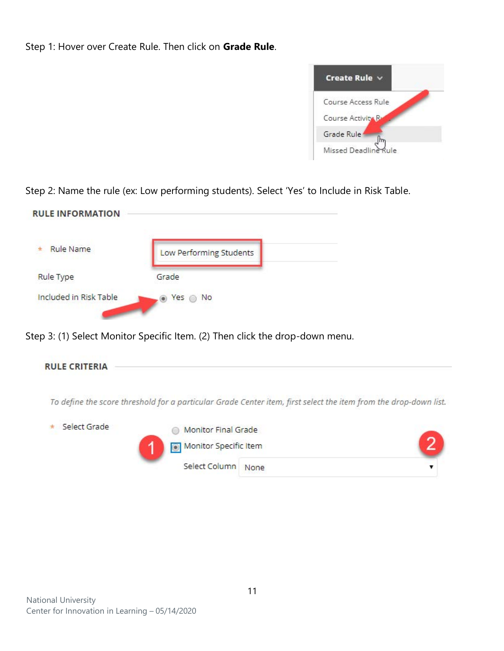Step 1: Hover over Create Rule. Then click on **Grade Rule**.



Step 2: Name the rule (ex: Low performing students). Select 'Yes' to Include in Risk Table.

| <b>Rule Name</b> | Low Performing Students |
|------------------|-------------------------|
|                  |                         |
| <b>Rule Type</b> | Grade                   |

Step 3: (1) Select Monitor Specific Item. (2) Then click the drop-down menu.

**RULE CRITERIA** 

To define the score threshold for a particular Grade Center item, first select the item from the drop-down list.

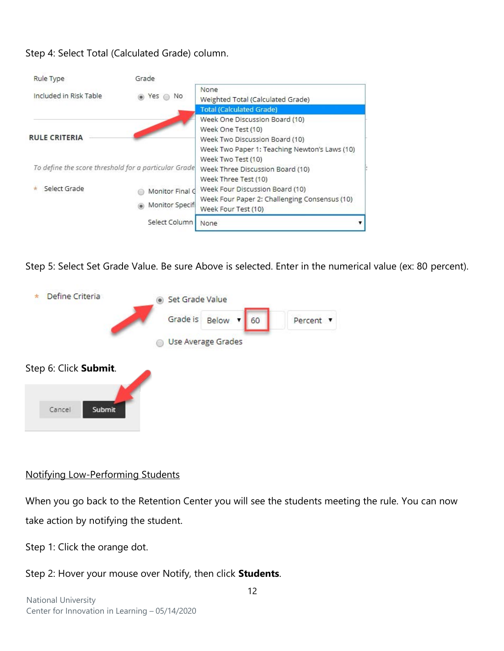# Step 4: Select Total (Calculated Grade) column.

| Rule Type                                            | Grade                              |                                                                                                                                                               |
|------------------------------------------------------|------------------------------------|---------------------------------------------------------------------------------------------------------------------------------------------------------------|
| Included in Risk Table                               | Yes<br>No.                         | None<br>Weighted Total (Calculated Grade)                                                                                                                     |
|                                                      |                                    | <b>Total (Calculated Grade)</b>                                                                                                                               |
| <b>RULE CRITERIA</b>                                 |                                    | Week One Discussion Board (10)<br>Week One Test (10)<br>Week Two Discussion Board (10)<br>Week Two Paper 1: Teaching Newton's Laws (10)<br>Week Two Test (10) |
| To define the score threshold for a particular Grade |                                    | Week Three Discussion Board (10)<br>Week Three Test (10)                                                                                                      |
| Select Grade                                         | Monitor Final G<br>Monitor Specifi | Week Four Discussion Board (10)<br>Week Four Paper 2: Challenging Consensus (10)<br>Week Four Test (10)                                                       |
|                                                      | Select Column                      | None                                                                                                                                                          |

Step 5: Select Set Grade Value. Be sure Above is selected. Enter in the numerical value (ex: 80 percent).



## Notifying Low-Performing Students

When you go back to the Retention Center you will see the students meeting the rule. You can now take action by notifying the student.

Step 1: Click the orange dot.

## Step 2: Hover your mouse over Notify, then click **Students**.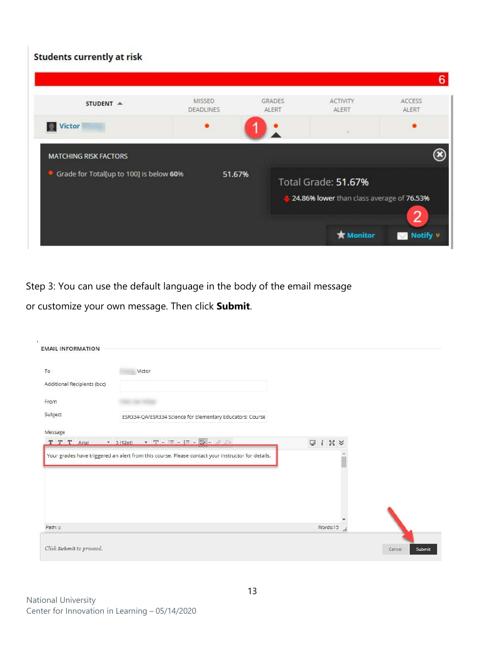# Students currently at risk

| STUDENT A                                                               | <b>MISSED</b><br><b>DEADLINES</b> | <b>GRADES</b><br>ALERT | <b>ACTIVITY</b><br>ALERT | ACCESS<br>ALERT |
|-------------------------------------------------------------------------|-----------------------------------|------------------------|--------------------------|-----------------|
| <b>Victor</b>                                                           |                                   |                        |                          |                 |
| <b>MATCHING RISK FACTORS</b><br>Grade for Total[up to 100] is below 60% | 51.67%                            |                        | Total Grade: 51.67%      |                 |

Step 3: You can use the default language in the body of the email message

or customize your own message. Then click **Submit**.

| To                          | Victor                                                                                                                                                                                                                                                                                                                             |                  |  |
|-----------------------------|------------------------------------------------------------------------------------------------------------------------------------------------------------------------------------------------------------------------------------------------------------------------------------------------------------------------------------|------------------|--|
| Additional Recipients (bcc) |                                                                                                                                                                                                                                                                                                                                    |                  |  |
| From                        |                                                                                                                                                                                                                                                                                                                                    |                  |  |
| Subject                     | ESR334-QA/ESR334 Science for Elementary Educators: Course                                                                                                                                                                                                                                                                          |                  |  |
| Message                     |                                                                                                                                                                                                                                                                                                                                    |                  |  |
|                             |                                                                                                                                                                                                                                                                                                                                    |                  |  |
| T T T Arial                 | $\mathbf{r}$ 3/1201 $\mathbf{r}$ $\mathbf{T} \cdot \mathbf{r}$ $\mathbf{r}$ $\mathbf{r}$ $\mathbf{r}$ $\mathbf{r}$ $\mathbf{r}$ $\mathbf{r}$ $\mathbf{r}$ $\mathbf{r}$ $\mathbf{r}$ $\mathbf{r}$ $\mathbf{r}$ $\mathbf{r}$ $\mathbf{r}$ $\mathbf{r}$ $\mathbf{r}$ $\mathbf{r}$ $\mathbf{r}$ $\mathbf{r}$ $\mathbf{r}$ $\mathbf{r}$ | $Q$ i $X$ $\vee$ |  |
|                             | Your grades have triggered an alert from this course. Please contact your instructor for details.                                                                                                                                                                                                                                  |                  |  |
|                             |                                                                                                                                                                                                                                                                                                                                    |                  |  |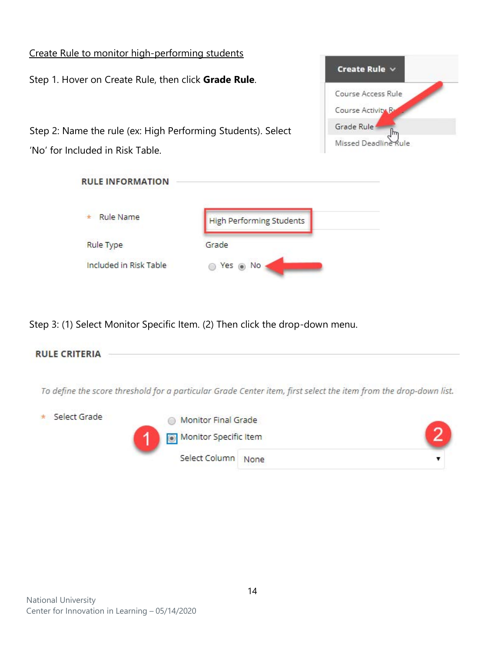# Create Rule to monitor high-performing students Create Rule  $\vee$ Step 1. Hover on Create Rule, then click **Grade Rule**. Course Access Rule Course Activity R Grade Rule Step 2: Name the rule (ex: High Performing Students). Select  $\mathbb{F}$ Missed Deadline Rule 'No' for Included in Risk Table. **RULE INFORMATION**  $\star$ **Rule Name High Performing Students** Rule Type Grade Included in Risk Table Yes @ No

Step 3: (1) Select Monitor Specific Item. (2) Then click the drop-down menu.



To define the score threshold for a particular Grade Center item, first select the item from the drop-down list.

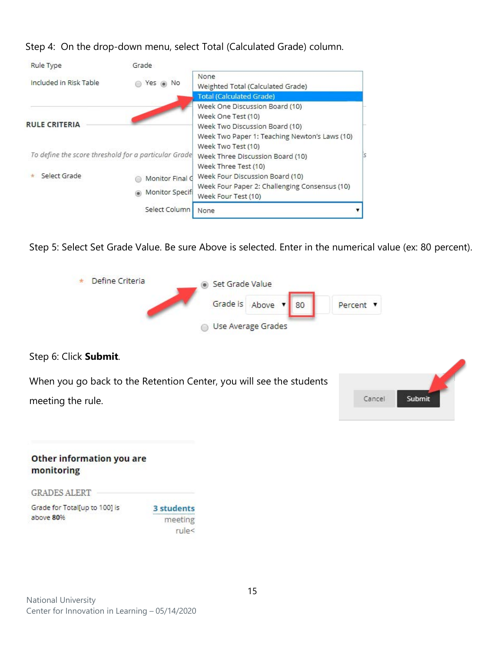Step 4: On the drop-down menu, select Total (Calculated Grade) column.

| Grade         |                                               |                                                                                            |
|---------------|-----------------------------------------------|--------------------------------------------------------------------------------------------|
| Yes           | None<br>Weighted Total (Calculated Grade)     |                                                                                            |
|               | <b>Total (Calculated Grade)</b>               |                                                                                            |
|               | Week One Discussion Board (10)                |                                                                                            |
|               | Week One Test (10)                            |                                                                                            |
|               | Week Two Discussion Board (10)                |                                                                                            |
|               | Week Two Paper 1: Teaching Newton's Laws (10) |                                                                                            |
|               | Week Two Test (10)                            |                                                                                            |
|               | Week Three Discussion Board (10)              |                                                                                            |
|               | Week Three Test (10)                          |                                                                                            |
|               | Week Four Discussion Board (10)               |                                                                                            |
|               | Week Four Paper 2: Challenging Consensus (10) |                                                                                            |
|               | Week Four Test (10)                           |                                                                                            |
| Select Column | None                                          |                                                                                            |
|               |                                               | To define the score threshold for a particular Grade<br>Monitor Final G<br>Monitor Specifi |

Step 5: Select Set Grade Value. Be sure Above is selected. Enter in the numerical value (ex: 80 percent).



| Other information you are<br>monitoring    |                       |
|--------------------------------------------|-----------------------|
| <b>GRADES ALERT</b>                        |                       |
| Grade for Total[up to 100] is<br>above 80% | 3 students<br>meeting |